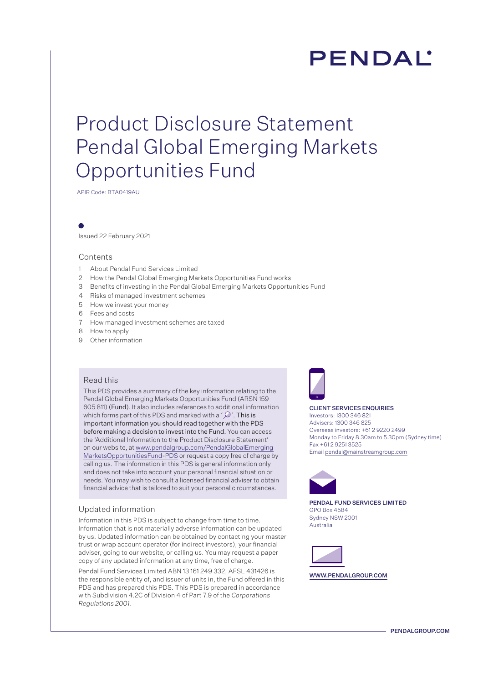# **PENDAL**

## Product Disclosure Statement Pendal Global Emerging Markets Opportunities Fund

APIR Code: BTA0419AU

Issued 22 February 2021

### Contents

- 1 About Pendal Fund Services Limited
- 2 How the Pendal Global Emerging Markets Opportunities Fund works
- 3 Benefits of investing in the Pendal Global Emerging Markets Opportunities Fund
- 4 Risks of managed investment schemes
- 5 How we invest your money
- 6 Fees and costs
- 7 How managed investment schemes are taxed
- 8 How to apply
- 9 Other information

#### Read this

This PDS provides a summary of the key information relating to the Pendal Global Emerging Markets Opportunities Fund (ARSN 159 605 811) (Fund). It also includes references to additional information which forms part of this PDS and marked with a ' $\mathcal{D}$ '. This is important information you should read together with the PDS before making a decision to invest into the Fund. You can access the 'Additional Information to the Product Disclosure Statement' on our website, at [www.pendalgroup.com/PendalGlobalEmerging](www.pendalgroup.com/PendalGlobalEmergingMarketsOpportunitiesFund-PDS) [MarketsOpportunitiesFund-PDS](www.pendalgroup.com/PendalGlobalEmergingMarketsOpportunitiesFund-PDS) or request a copy free of charge by calling us. The information in this PDS is general information only and does not take into account your personal financial situation or needs. You may wish to consult a licensed financial adviser to obtain financial advice that is tailored to suit your personal circumstances.

### Updated information

Information in this PDS is subject to change from time to time. Information that is not materially adverse information can be updated by us. Updated information can be obtained by contacting your master trust or wrap account operator (for indirect investors), your financial adviser, going to our website, or calling us. You may request a paper copy of any updated information at any time, free of charge.

Pendal Fund Services Limited ABN 13 161 249 332, AFSL 431426 is the responsible entity of, and issuer of units in, the Fund offered in this PDS and has prepared this PDS. This PDS is prepared in accordance with Subdivision 4.2C of Division 4 of Part 7.9 of the *Corporations Regulations 2001.* 



#### CLIENT SERVICES ENQUIRIES

Investors: 1300 346 821 Advisers: 1300 346 825 Overseas investors: +61 2 9220 2499 Monday to Friday 8.30am to 5.30pm (Sydney time) Fax +61 2 9251 3525 Email pendal@mainstreamgroup.com



PENDAL FUND SERVICES LIMITED GPO Box 4584 Sydney NSW 2001 Australia



WWW.PENDALGROUP.COM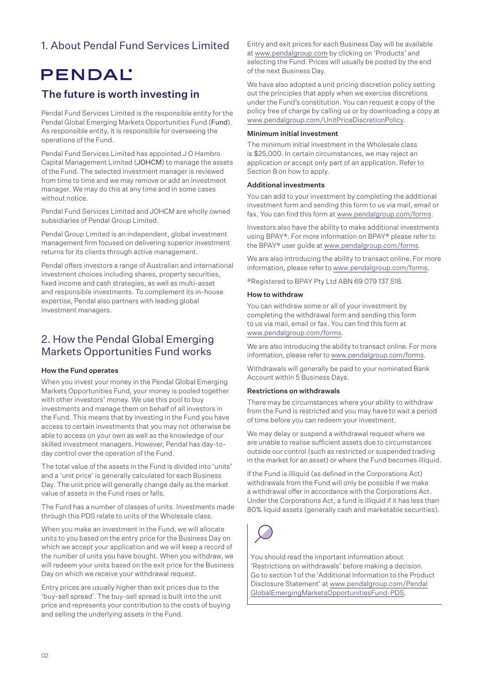### 1. About Pendal Fund Services Limited

## **PENDAL**

### The future is worth investing in

Pendal Fund Services Limited is the responsible entity for the Pendal Global Emerging Markets Opportunities Fund (Fund). As responsible entity, it is responsible for overseeing the operations of the Fund.

Pendal Fund Services Limited has appointed J O Hambro Capital Management Limited (JOHCM) to manage the assets of the Fund. The selected investment manager is reviewed from time to time and we may remove or add an investment manager. We may do this at any time and in some cases without notice.

Pendal Fund Services Limited and JOHCM are wholly owned subsidiaries of Pendal Group Limited.

Pendal Group Limited is an independent, global investment management firm focused on delivering superior investment returns for its clients through active management.

Pendal offers investors a range of Australian and international investment choices including shares, property securities, fixed income and cash strategies, as well as multi-asset and responsible investments. To complement its in-house expertise, Pendal also partners with leading global investment managers.

### 2. How the Pendal Global Emerging Markets Opportunities Fund works

### How the Fund operates

When you invest your money in the Pendal Global Emerging Markets Opportunities Fund, your money is pooled together with other investors' money. We use this pool to buy investments and manage them on behalf of all investors in the Fund. This means that by investing in the Fund you have access to certain investments that you may not otherwise be able to access on your own as well as the knowledge of our skilled investment managers. However, Pendal has day-today control over the operation of the Fund.

The total value of the assets in the Fund is divided into 'units' and a 'unit price' is generally calculated for each Business Day. The unit price will generally change daily as the market value of assets in the Fund rises or falls.

The Fund has a number of classes of units. Investments made through this PDS relate to units of the Wholesale class.

When you make an investment in the Fund, we will allocate units to you based on the entry price for the Business Day on which we accept your application and we will keep a record of the number of units you have bought. When you withdraw, we will redeem your units based on the exit price for the Business Day on which we receive your withdrawal request.

Entry prices are usually higher than exit prices due to the 'buy-sell spread'. The buy-sell spread is built into the unit price and represents your contribution to the costs of buying and selling the underlying assets in the Fund.

Entry and exit prices for each Business Day will be available at www.pendalgroup.com by clicking on 'Products' and selecting the Fund. Prices will usually be posted by the end of the next Business Day.

We have also adopted a unit pricing discretion policy setting out the principles that apply when we exercise discretions under the Fund's constitution. You can request a copy of the policy free of charge by calling us or by downloading a copy at www.pendalgroup.com/UnitPriceDiscretionPolicy.

#### Minimum initial investment

The minimum initial investment in the Wholesale class is \$25,000. In certain circumstances, we may reject an application or accept only part of an application. Refer to Section 8 on how to apply.

### Additional investments

You can add to your investment by completing the additional investment form and sending this form to us via mail, email or fax. You can find this form at www.pendalgroup.com/forms.

Investors also have the ability to make additional investments using BPAY®. For more information on BPAY® please refer to the BPAY® user guide at www.pendalgroup.com/forms.

We are also introducing the ability to transact online. For more information, please refer to www.pendalgroup.com/forms.

®Registered to BPAY Pty Ltd ABN 69 079 137 518.

### How to withdraw

You can withdraw some or all of your investment by completing the withdrawal form and sending this form to us via mail, email or fax. You can find this form at www.pendalgroup.com/forms.

We are also introducing the ability to transact online. For more information, please refer to www.pendalgroup.com/forms.

Withdrawals will generally be paid to your nominated Bank Account within 5 Business Days.

### Restrictions on withdrawals

There may be circumstances where your ability to withdraw from the Fund is restricted and you may have to wait a period of time before you can redeem your investment.

We may delay or suspend a withdrawal request where we are unable to realise sufficient assets due to circumstances outside our control (such as restricted or suspended trading in the market for an asset) or where the Fund becomes illiquid.

If the Fund is illiquid (as defined in the Corporations Act) withdrawals from the Fund will only be possible if we make a withdrawal offer in accordance with the Corporations Act. Under the Corporations Act, a fund is illiquid if it has less than 80% liquid assets (generally cash and marketable securities).



You should read the important information about 'Restrictions on withdrawals' before making a decision. Go to section 1 of the 'Additional Information to the Product Disclosure Statement' at [www.pendalgroup.com/Pendal](www.pendalgroup.com/PendalGlobalEmergingMarketsOpportunitiesFund-PDS) [GlobalEmergingMarketsOpportunitiesFund-PDS](www.pendalgroup.com/PendalGlobalEmergingMarketsOpportunitiesFund-PDS).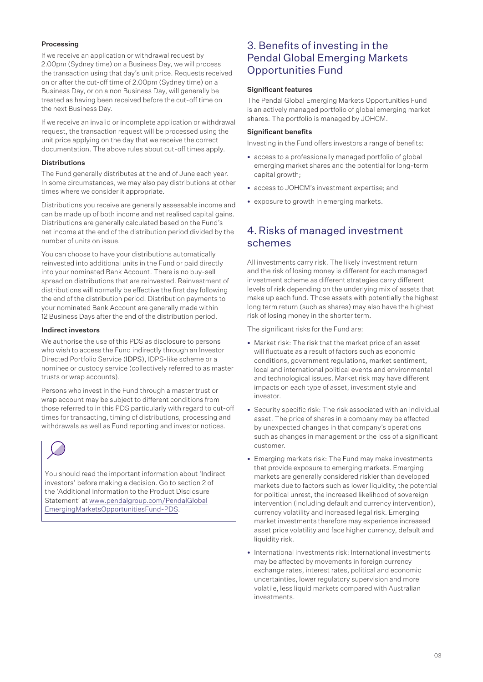### Processing

If we receive an application or withdrawal request by 2.00pm (Sydney time) on a Business Day, we will process the transaction using that day's unit price. Requests received on or after the cut-off time of 2.00pm (Sydney time) on a Business Day, or on a non Business Day, will generally be treated as having been received before the cut-off time on the next Business Day.

If we receive an invalid or incomplete application or withdrawal request, the transaction request will be processed using the unit price applying on the day that we receive the correct documentation. The above rules about cut-off times apply.

### **Distributions**

The Fund generally distributes at the end of June each year. In some circumstances, we may also pay distributions at other times where we consider it appropriate.

Distributions you receive are generally assessable income and can be made up of both income and net realised capital gains. Distributions are generally calculated based on the Fund's net income at the end of the distribution period divided by the number of units on issue.

You can choose to have your distributions automatically reinvested into additional units in the Fund or paid directly into your nominated Bank Account. There is no buy-sell spread on distributions that are reinvested. Reinvestment of distributions will normally be effective the first day following the end of the distribution period. Distribution payments to your nominated Bank Account are generally made within 12 Business Days after the end of the distribution period.

### Indirect investors

We authorise the use of this PDS as disclosure to persons who wish to access the Fund indirectly through an Investor Directed Portfolio Service (IDPS), IDPS-like scheme or a nominee or custody service (collectively referred to as master trusts or wrap accounts).

Persons who invest in the Fund through a master trust or wrap account may be subject to different conditions from those referred to in this PDS particularly with regard to cut-off times for transacting, timing of distributions, processing and withdrawals as well as Fund reporting and investor notices.

You should read the important information about 'Indirect investors' before making a decision. Go to section 2 of the 'Additional Information to the Product Disclosure Statement' at [www.pendalgroup.com/PendalGlobal](www.pendalgroup.com/PendalGlobalEmergingMarketsOpportunitiesFund-PDS) [EmergingMarketsOpportunitiesFund-PDS.](www.pendalgroup.com/PendalGlobalEmergingMarketsOpportunitiesFund-PDS)

### 3. Benefits of investing in the Pendal Global Emerging Markets Opportunities Fund

### Significant features

The Pendal Global Emerging Markets Opportunities Fund is an actively managed portfolio of global emerging market shares. The portfolio is managed by JOHCM.

### Significant benefits

Investing in the Fund offers investors a range of benefits:

- access to a professionally managed portfolio of global emerging market shares and the potential for long-term capital growth;
- access to JOHCM's investment expertise; and
- exposure to growth in emerging markets.

### 4.Risks of managed investment schemes

All investments carry risk. The likely investment return and the risk of losing money is different for each managed investment scheme as different strategies carry different levels of risk depending on the underlying mix of assets that make up each fund. Those assets with potentially the highest long term return (such as shares) may also have the highest risk of losing money in the shorter term.

The significant risks for the Fund are:

- Market risk: The risk that the market price of an asset will fluctuate as a result of factors such as economic conditions, government regulations, market sentiment, local and international political events and environmental and technological issues. Market risk may have different impacts on each type of asset, investment style and investor.
- Security specific risk: The risk associated with an individual asset. The price of shares in a company may be affected by unexpected changes in that company's operations such as changes in management or the loss of a significant customer.
- Emerging markets risk: The Fund may make investments that provide exposure to emerging markets. Emerging markets are generally considered riskier than developed markets due to factors such as lower liquidity, the potential for political unrest, the increased likelihood of sovereign intervention (including default and currency intervention), currency volatility and increased legal risk. Emerging market investments therefore may experience increased asset price volatility and face higher currency, default and liquidity risk.
- International investments risk: International investments may be affected by movements in foreign currency exchange rates, interest rates, political and economic uncertainties, lower regulatory supervision and more volatile, less liquid markets compared with Australian investments.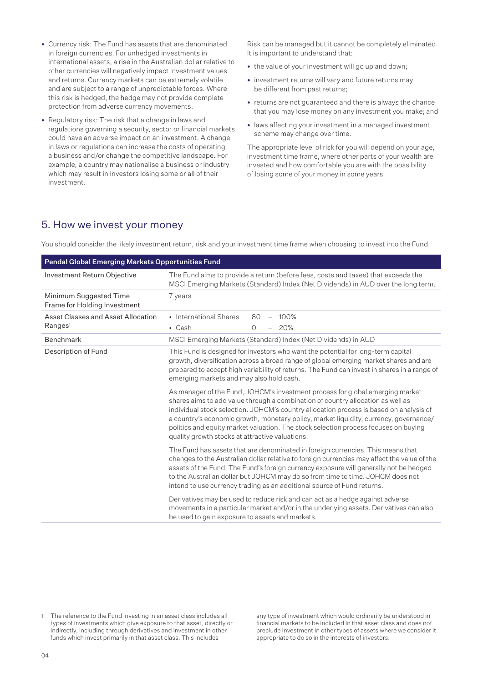- Currency risk: The Fund has assets that are denominated in foreign currencies. For unhedged investments in international assets, a rise in the Australian dollar relative to other currencies will negatively impact investment values and returns. Currency markets can be extremely volatile and are subject to a range of unpredictable forces. Where this risk is hedged, the hedge may not provide complete protection from adverse currency movements.
- Regulatory risk: The risk that a change in laws and regulations governing a security, sector or financial markets could have an adverse impact on an investment. A change in laws or regulations can increase the costs of operating a business and/or change the competitive landscape. For example, a country may nationalise a business or industry which may result in investors losing some or all of their investment.

Risk can be managed but it cannot be completely eliminated. It is important to understand that:

- the value of your investment will go up and down;
- investment returns will vary and future returns may be different from past returns;
- returns are not guaranteed and there is always the chance that you may lose money on any investment you make; and
- laws affecting your investment in a managed investment scheme may change over time.

The appropriate level of risk for you will depend on your age, investment time frame, where other parts of your wealth are invested and how comfortable you are with the possibility of losing some of your money in some years.

### 5. How we invest your money

You should consider the likely investment return, risk and your investment time frame when choosing to invest into the Fund.

| <b>Pendal Global Emerging Markets Opportunities Fund</b> |                                                                                                                                                                                                                                                                                                                                                                                                                                                                                                                                                                                                                                                                                                                                                                                                                       |  |  |
|----------------------------------------------------------|-----------------------------------------------------------------------------------------------------------------------------------------------------------------------------------------------------------------------------------------------------------------------------------------------------------------------------------------------------------------------------------------------------------------------------------------------------------------------------------------------------------------------------------------------------------------------------------------------------------------------------------------------------------------------------------------------------------------------------------------------------------------------------------------------------------------------|--|--|
| Investment Return Objective                              | The Fund aims to provide a return (before fees, costs and taxes) that exceeds the<br>MSCI Emerging Markets (Standard) Index (Net Dividends) in AUD over the long term.                                                                                                                                                                                                                                                                                                                                                                                                                                                                                                                                                                                                                                                |  |  |
| Minimum Suggested Time<br>Frame for Holding Investment   | 7 years                                                                                                                                                                                                                                                                                                                                                                                                                                                                                                                                                                                                                                                                                                                                                                                                               |  |  |
| Asset Classes and Asset Allocation                       | • International Shares<br>80<br>100%<br>$\overline{\phantom{0}}$                                                                                                                                                                                                                                                                                                                                                                                                                                                                                                                                                                                                                                                                                                                                                      |  |  |
| Ranges <sup>1</sup>                                      | 20%<br>• Cash<br>$\Omega$                                                                                                                                                                                                                                                                                                                                                                                                                                                                                                                                                                                                                                                                                                                                                                                             |  |  |
| Benchmark                                                | MSCI Emerging Markets (Standard) Index (Net Dividends) in AUD                                                                                                                                                                                                                                                                                                                                                                                                                                                                                                                                                                                                                                                                                                                                                         |  |  |
| Description of Fund                                      | This Fund is designed for investors who want the potential for long-term capital<br>growth, diversification across a broad range of global emerging market shares and are<br>prepared to accept high variability of returns. The Fund can invest in shares in a range of<br>emerging markets and may also hold cash.<br>As manager of the Fund, JOHCM's investment process for global emerging market<br>shares aims to add value through a combination of country allocation as well as<br>individual stock selection. JOHCM's country allocation process is based on analysis of<br>a country's economic growth, monetary policy, market liquidity, currency, governance/<br>politics and equity market valuation. The stock selection process focuses on buying<br>quality growth stocks at attractive valuations. |  |  |
|                                                          | The Fund has assets that are denominated in foreign currencies. This means that<br>changes to the Australian dollar relative to foreign currencies may affect the value of the<br>assets of the Fund. The Fund's foreign currency exposure will generally not be hedged<br>to the Australian dollar but JOHCM may do so from time to time. JOHCM does not<br>intend to use currency trading as an additional source of Fund returns.                                                                                                                                                                                                                                                                                                                                                                                  |  |  |
|                                                          | Derivatives may be used to reduce risk and can act as a hedge against adverse<br>movements in a particular market and/or in the underlying assets. Derivatives can also<br>be used to gain exposure to assets and markets.                                                                                                                                                                                                                                                                                                                                                                                                                                                                                                                                                                                            |  |  |

The reference to the Fund investing in an asset class includes all types of investments which give exposure to that asset, directly or indirectly, including through derivatives and investment in other funds which invest primarily in that asset class. This includes

any type of investment which would ordinarily be understood in financial markets to be included in that asset class and does not preclude investment in other types of assets where we consider it appropriate to do so in the interests of investors.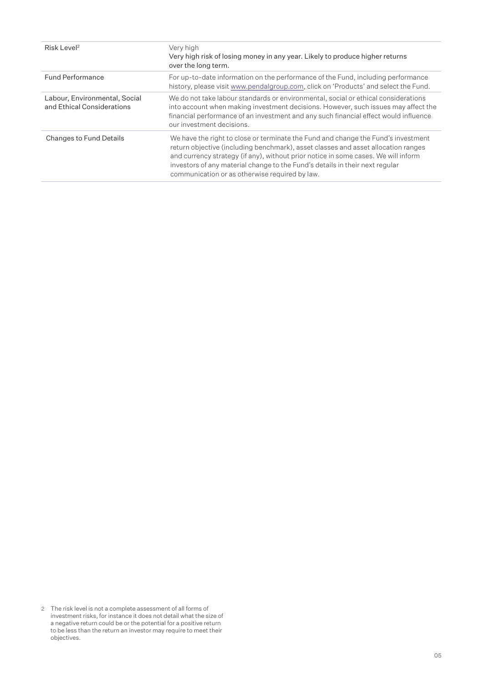| Risk Level <sup>2</sup>                                     | Very high<br>Very high risk of losing money in any year. Likely to produce higher returns<br>over the long term.                                                                                                                                                                                                                                                                               |
|-------------------------------------------------------------|------------------------------------------------------------------------------------------------------------------------------------------------------------------------------------------------------------------------------------------------------------------------------------------------------------------------------------------------------------------------------------------------|
| <b>Fund Performance</b>                                     | For up-to-date information on the performance of the Fund, including performance<br>history, please visit www.pendalgroup.com, click on 'Products' and select the Fund.                                                                                                                                                                                                                        |
| Labour, Environmental, Social<br>and Ethical Considerations | We do not take labour standards or environmental, social or ethical considerations<br>into account when making investment decisions. However, such issues may affect the<br>financial performance of an investment and any such financial effect would influence<br>our investment decisions.                                                                                                  |
| <b>Changes to Fund Details</b>                              | We have the right to close or terminate the Fund and change the Fund's investment<br>return objective (including benchmark), asset classes and asset allocation ranges<br>and currency strategy (if any), without prior notice in some cases. We will inform<br>investors of any material change to the Fund's details in their next regular<br>communication or as otherwise required by law. |

<sup>2</sup> The risk level is not a complete assessment of all forms of investment risks, for instance it does not detail what the size of a negative return could be or the potential for a positive return to be less than the return an investor may require to meet their objectives.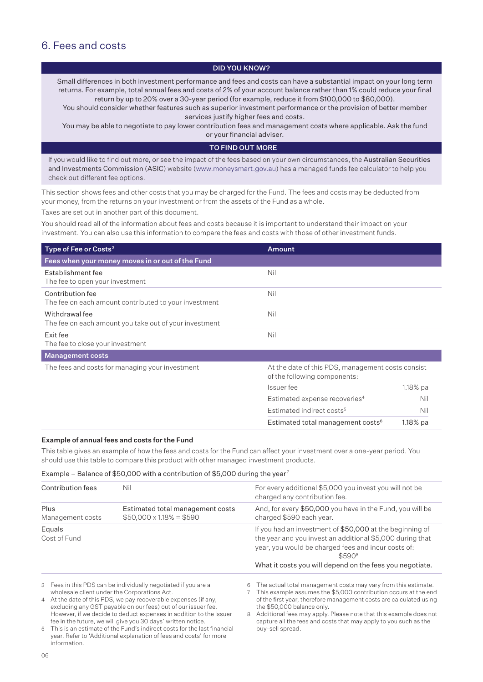### 6. Fees and costs

### DID YOU KNOW?

Small differences in both investment performance and fees and costs can have a substantial impact on your long term returns. For example, total annual fees and costs of 2% of your account balance rather than 1% could reduce your final return by up to 20% over a 30-year period (for example, reduce it from \$100,000 to \$80,000).

You should consider whether features such as superior investment performance or the provision of better member services justify higher fees and costs.

You may be able to negotiate to pay lower contribution fees and management costs where applicable. Ask the fund or your financial adviser.

### TO FIND OUT MORE

If you would like to find out more, or see the impact of the fees based on your own circumstances, the Australian Securities and Investments Commission (ASIC) website (www.moneysmart.gov.au) has a managed funds fee calculator to help you check out different fee options.

This section shows fees and other costs that you may be charged for the Fund. The fees and costs may be deducted from your money, from the returns on your investment or from the assets of the Fund as a whole.

Taxes are set out in another part of this document.

You should read all of the information about fees and costs because it is important to understand their impact on your investment. You can also use this information to compare the fees and costs with those of other investment funds.

| Type of Fee or Costs $3$                                                  | <b>Amount</b>                                                                     |             |
|---------------------------------------------------------------------------|-----------------------------------------------------------------------------------|-------------|
| Fees when your money moves in or out of the Fund                          |                                                                                   |             |
| Establishment fee<br>The fee to open your investment                      | Nil                                                                               |             |
| Contribution fee<br>The fee on each amount contributed to your investment | Nil                                                                               |             |
| Withdrawal fee<br>The fee on each amount you take out of your investment  | Nil                                                                               |             |
| Exit fee<br>The fee to close your investment                              | Nil                                                                               |             |
| <b>Management costs</b>                                                   |                                                                                   |             |
| The fees and costs for managing your investment                           | At the date of this PDS, management costs consist<br>of the following components: |             |
|                                                                           | Issuer fee                                                                        | $1.18\%$ pa |
|                                                                           | Estimated expense recoveries <sup>4</sup>                                         | Nil         |
|                                                                           | Estimated indirect costs <sup>5</sup>                                             | Nil         |
|                                                                           | Estimated total management costs <sup>6</sup>                                     | $1.18\%$ pa |

### Example of annual fees and costs for the Fund

This table gives an example of how the fees and costs for the Fund can affect your investment over a one-year period. You should use this table to compare this product with other managed investment products.

### Example – Balance of \$50,000 with a contribution of \$5,000 during the year<sup>7</sup>

| Contribution fees        | Nil                                                                | For every additional \$5,000 you invest you will not be<br>charged any contribution fee.                                                                                                                                                           |
|--------------------------|--------------------------------------------------------------------|----------------------------------------------------------------------------------------------------------------------------------------------------------------------------------------------------------------------------------------------------|
| Plus<br>Management costs | Estimated total management costs<br>$$50,000 \times 1.18\% = $590$ | And, for every \$50,000 you have in the Fund, you will be<br>charged \$590 each year.                                                                                                                                                              |
| Equals<br>Cost of Fund   |                                                                    | If you had an investment of \$50,000 at the beginning of<br>the year and you invest an additional \$5,000 during that<br>year, you would be charged fees and incur costs of:<br>\$5908<br>What it costs you will depend on the fees you negotiate. |
|                          | 3 Eggs in this PDS can be individually negotiated if you are a     | 6 The actual total management costs may yary from this estimate                                                                                                                                                                                    |

 $\bar{s}$  in this PDS can be individually negotiated if you are a wholesale client under the Corporations Act.

4 At the date of this PDS, we pay recoverable expenses (if any, excluding any GST payable on our fees) out of our issuer fee. However, if we decide to deduct expenses in addition to the issuer fee in the future, we will give you 30 days' written notice.

5 This is an estimate of the Fund's indirect costs for the last financial year. Refer to 'Additional explanation of fees and costs' for more information.

he actual total manageme

7 This example assumes the \$5,000 contribution occurs at the end of the first year, therefore management costs are calculated using the \$50,000 balance only.

8 Additional fees may apply. Please note that this example does not capture all the fees and costs that may apply to you such as the buy-sell spread.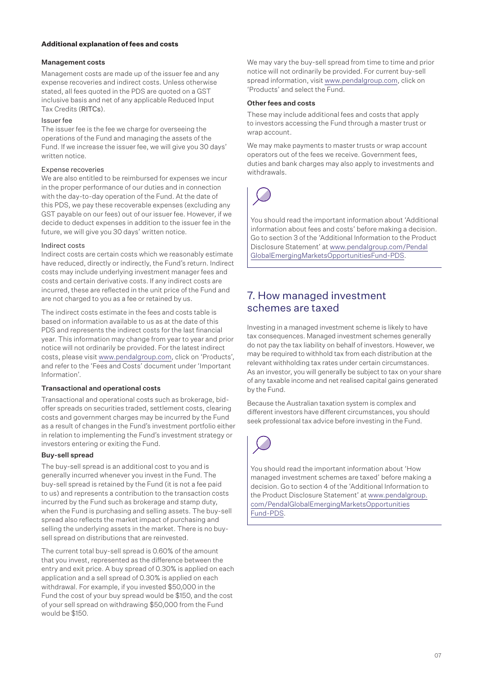### **Additional explanation of fees and costs**

### Management costs

Management costs are made up of the issuer fee and any expense recoveries and indirect costs. Unless otherwise stated, all fees quoted in the PDS are quoted on a GST inclusive basis and net of any applicable Reduced Input Tax Credits (RITCs).

#### Issuer fee

The issuer fee is the fee we charge for overseeing the operations of the Fund and managing the assets of the Fund. If we increase the issuer fee, we will give you 30 days' written notice.

#### Expense recoveries

We are also entitled to be reimbursed for expenses we incur in the proper performance of our duties and in connection with the day-to-day operation of the Fund. At the date of this PDS, we pay these recoverable expenses (excluding any GST payable on our fees) out of our issuer fee. However, if we decide to deduct expenses in addition to the issuer fee in the future, we will give you 30 days' written notice.

#### Indirect costs

Indirect costs are certain costs which we reasonably estimate have reduced, directly or indirectly, the Fund's return. Indirect costs may include underlying investment manager fees and costs and certain derivative costs. If any indirect costs are incurred, these are reflected in the unit price of the Fund and are not charged to you as a fee or retained by us.

The indirect costs estimate in the fees and costs table is based on information available to us as at the date of this PDS and represents the indirect costs for the last financial year. This information may change from year to year and prior notice will not ordinarily be provided. For the latest indirect costs, please visit www.pendalgroup.com, click on 'Products', and refer to the 'Fees and Costs' document under 'Important Information'.

### Transactional and operational costs

Transactional and operational costs such as brokerage, bidoffer spreads on securities traded, settlement costs, clearing costs and government charges may be incurred by the Fund as a result of changes in the Fund's investment portfolio either in relation to implementing the Fund's investment strategy or investors entering or exiting the Fund.

### Buy-sell spread

The buy-sell spread is an additional cost to you and is generally incurred whenever you invest in the Fund. The buy-sell spread is retained by the Fund (it is not a fee paid to us) and represents a contribution to the transaction costs incurred by the Fund such as brokerage and stamp duty, when the Fund is purchasing and selling assets. The buy-sell spread also reflects the market impact of purchasing and selling the underlying assets in the market. There is no buysell spread on distributions that are reinvested.

The current total buy-sell spread is 0.60% of the amount that you invest, represented as the difference between the entry and exit price. A buy spread of 0.30% is applied on each application and a sell spread of 0.30% is applied on each withdrawal. For example, if you invested \$50,000 in the Fund the cost of your buy spread would be \$150, and the cost of your sell spread on withdrawing \$50,000 from the Fund would be \$150.

We may vary the buy-sell spread from time to time and prior notice will not ordinarily be provided. For current buy-sell spread information, visit www.pendalgroup.com, click on 'Products' and select the Fund.

#### Other fees and costs

These may include additional fees and costs that apply to investors accessing the Fund through a master trust or wrap account.

We may make payments to master trusts or wrap account operators out of the fees we receive. Government fees, duties and bank charges may also apply to investments and withdrawals.



You should read the important information about 'Additional information about fees and costs' before making a decision. Go to section 3 of the 'Additional Information to the Product Disclosure Statement' at [www.pendalgroup.com/Pendal](www.pendalgroup.com/PendalGlobalEmergingMarketsOpportunitiesFund-PDS) [GlobalEmergingMarketsOpportunitiesFund-PDS](www.pendalgroup.com/PendalGlobalEmergingMarketsOpportunitiesFund-PDS).

### 7. How managed investment schemes are taxed

Investing in a managed investment scheme is likely to have tax consequences. Managed investment schemes generally do not pay the tax liability on behalf of investors. However, we may be required to withhold tax from each distribution at the relevant withholding tax rates under certain circumstances. As an investor, you will generally be subject to tax on your share of any taxable income and net realised capital gains generated by the Fund.

Because the Australian taxation system is complex and different investors have different circumstances, you should seek professional tax advice before investing in the Fund.



You should read the important information about 'How managed investment schemes are taxed' before making a decision. Go to section 4 of the 'Additional Information to the Product Disclosure Statement' at [www.pendalgroup.](www.pendalgroup.com/PendalGlobalEmergingMarketsOpportunitiesFund-PDS) [com/PendalGlobalEmergingMarketsOpportunities](www.pendalgroup.com/PendalGlobalEmergingMarketsOpportunitiesFund-PDS) [Fund-PDS.](www.pendalgroup.com/PendalGlobalEmergingMarketsOpportunitiesFund-PDS)